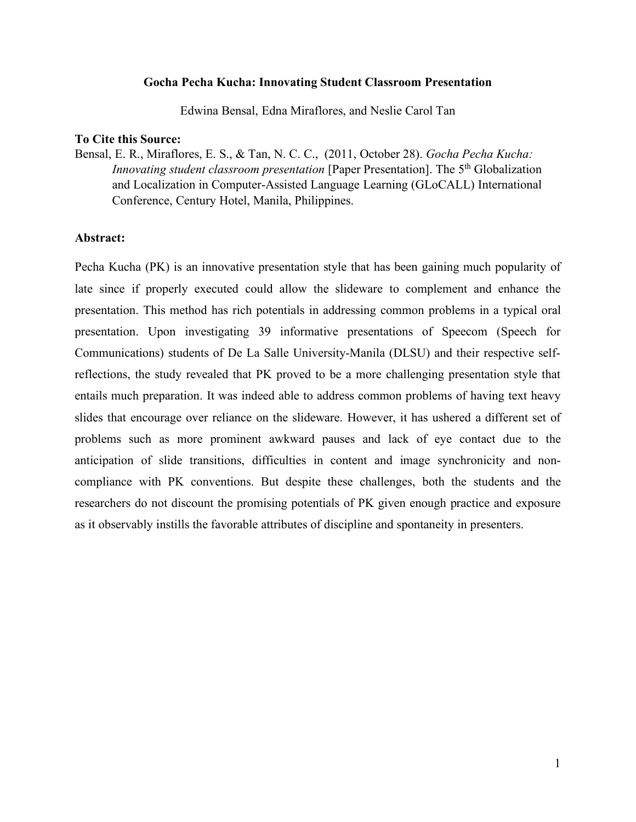## **Gocha Pecha Kucha: Innovating Student Classroom Presentation**

Edwina Bensal, Edna Miraflores, and Neslie Carol Tan

## **To Cite this Source:**

Bensal, E. R., Miraflores, E. S., & Tan, N. C. C., (2011, October 28). *Gocha Pecha Kucha: Innovating student classroom presentation* [Paper Presentation]. The 5<sup>th</sup> Globalization and Localization in Computer-Assisted Language Learning (GLoCALL) International Conference, Century Hotel, Manila, Philippines.

#### **Abstract:**

Pecha Kucha (PK) is an innovative presentation style that has been gaining much popularity of late since if properly executed could allow the slideware to complement and enhance the presentation. This method has rich potentials in addressing common problems in a typical oral presentation. Upon investigating 39 informative presentations of Speecom (Speech for Communications) students of De La Salle University-Manila (DLSU) and their respective selfreflections, the study revealed that PK proved to be a more challenging presentation style that entails much preparation. It was indeed able to address common problems of having text heavy slides that encourage over reliance on the slideware. However, it has ushered a different set of problems such as more prominent awkward pauses and lack of eye contact due to the anticipation of slide transitions, difficulties in content and image synchronicity and noncompliance with PK conventions. But despite these challenges, both the students and the researchers do not discount the promising potentials of PK given enough practice and exposure as it observably instills the favorable attributes of discipline and spontaneity in presenters.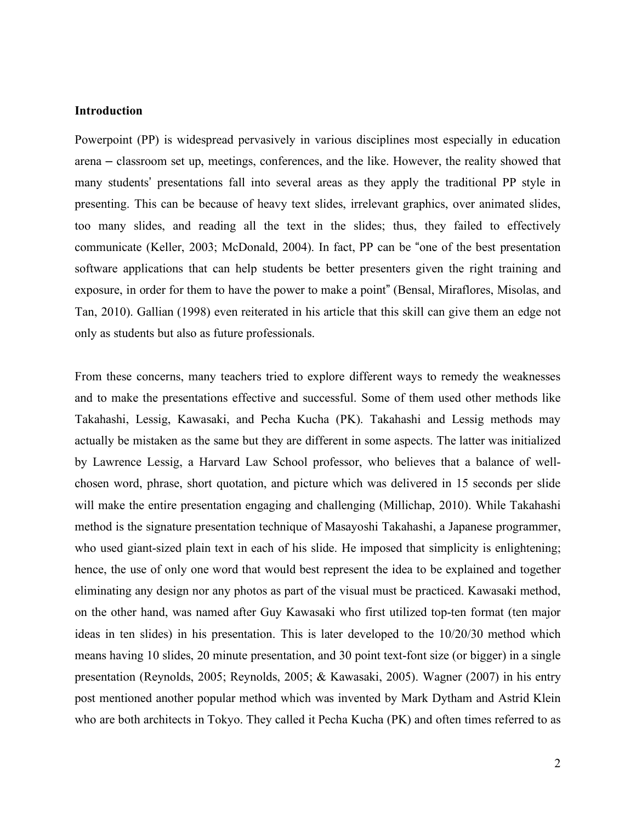## **Introduction**

Powerpoint (PP) is widespread pervasively in various disciplines most especially in education arena – classroom set up, meetings, conferences, and the like. However, the reality showed that many students' presentations fall into several areas as they apply the traditional PP style in presenting. This can be because of heavy text slides, irrelevant graphics, over animated slides, too many slides, and reading all the text in the slides; thus, they failed to effectively communicate (Keller, 2003; McDonald, 2004). In fact, PP can be "one of the best presentation software applications that can help students be better presenters given the right training and exposure, in order for them to have the power to make a point" (Bensal, Miraflores, Misolas, and Tan, 2010). Gallian (1998) even reiterated in his article that this skill can give them an edge not only as students but also as future professionals.

From these concerns, many teachers tried to explore different ways to remedy the weaknesses and to make the presentations effective and successful. Some of them used other methods like Takahashi, Lessig, Kawasaki, and Pecha Kucha (PK). Takahashi and Lessig methods may actually be mistaken as the same but they are different in some aspects. The latter was initialized by Lawrence Lessig, a Harvard Law School professor, who believes that a balance of wellchosen word, phrase, short quotation, and picture which was delivered in 15 seconds per slide will make the entire presentation engaging and challenging (Millichap, 2010). While Takahashi method is the signature presentation technique of Masayoshi Takahashi, a Japanese programmer, who used giant-sized plain text in each of his slide. He imposed that simplicity is enlightening; hence, the use of only one word that would best represent the idea to be explained and together eliminating any design nor any photos as part of the visual must be practiced. Kawasaki method, on the other hand, was named after Guy Kawasaki who first utilized top-ten format (ten major ideas in ten slides) in his presentation. This is later developed to the 10/20/30 method which means having 10 slides, 20 minute presentation, and 30 point text-font size (or bigger) in a single presentation (Reynolds, 2005; Reynolds, 2005; & Kawasaki, 2005). Wagner (2007) in his entry post mentioned another popular method which was invented by Mark Dytham and Astrid Klein who are both architects in Tokyo. They called it Pecha Kucha (PK) and often times referred to as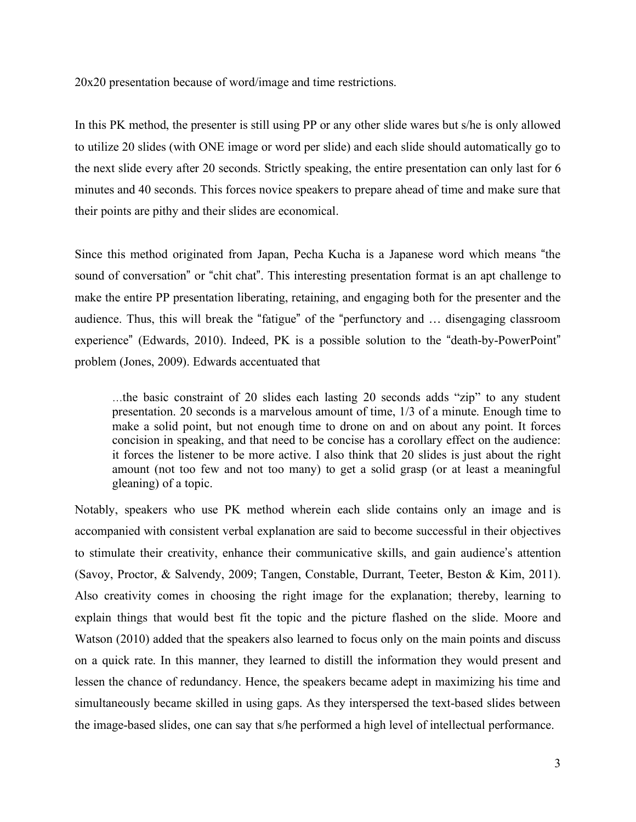20x20 presentation because of word/image and time restrictions.

In this PK method, the presenter is still using PP or any other slide wares but s/he is only allowed to utilize 20 slides (with ONE image or word per slide) and each slide should automatically go to the next slide every after 20 seconds. Strictly speaking, the entire presentation can only last for 6 minutes and 40 seconds. This forces novice speakers to prepare ahead of time and make sure that their points are pithy and their slides are economical.

Since this method originated from Japan, Pecha Kucha is a Japanese word which means "the sound of conversation" or "chit chat". This interesting presentation format is an apt challenge to make the entire PP presentation liberating, retaining, and engaging both for the presenter and the audience. Thus, this will break the "fatigue" of the "perfunctory and … disengaging classroom experience" (Edwards, 2010). Indeed, PK is a possible solution to the "death-by-PowerPoint" problem (Jones, 2009). Edwards accentuated that

…the basic constraint of 20 slides each lasting 20 seconds adds "zip" to any student presentation. 20 seconds is a marvelous amount of time, 1/3 of a minute. Enough time to make a solid point, but not enough time to drone on and on about any point. It forces concision in speaking, and that need to be concise has a corollary effect on the audience: it forces the listener to be more active. I also think that 20 slides is just about the right amount (not too few and not too many) to get a solid grasp (or at least a meaningful gleaning) of a topic.

Notably, speakers who use PK method wherein each slide contains only an image and is accompanied with consistent verbal explanation are said to become successful in their objectives to stimulate their creativity, enhance their communicative skills, and gain audience's attention (Savoy, Proctor, & Salvendy, 2009; Tangen, Constable, Durrant, Teeter, Beston & Kim, 2011). Also creativity comes in choosing the right image for the explanation; thereby, learning to explain things that would best fit the topic and the picture flashed on the slide. Moore and Watson (2010) added that the speakers also learned to focus only on the main points and discuss on a quick rate. In this manner, they learned to distill the information they would present and lessen the chance of redundancy. Hence, the speakers became adept in maximizing his time and simultaneously became skilled in using gaps. As they interspersed the text-based slides between the image-based slides, one can say that s/he performed a high level of intellectual performance.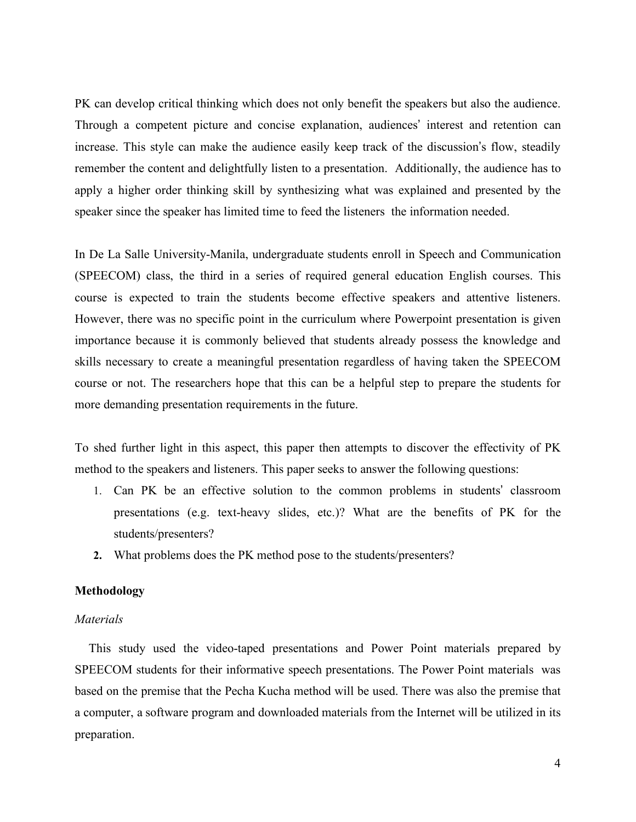PK can develop critical thinking which does not only benefit the speakers but also the audience. Through a competent picture and concise explanation, audiences' interest and retention can increase. This style can make the audience easily keep track of the discussion's flow, steadily remember the content and delightfully listen to a presentation. Additionally, the audience has to apply a higher order thinking skill by synthesizing what was explained and presented by the speaker since the speaker has limited time to feed the listeners the information needed.

In De La Salle University-Manila, undergraduate students enroll in Speech and Communication (SPEECOM) class, the third in a series of required general education English courses. This course is expected to train the students become effective speakers and attentive listeners. However, there was no specific point in the curriculum where Powerpoint presentation is given importance because it is commonly believed that students already possess the knowledge and skills necessary to create a meaningful presentation regardless of having taken the SPEECOM course or not. The researchers hope that this can be a helpful step to prepare the students for more demanding presentation requirements in the future.

To shed further light in this aspect, this paper then attempts to discover the effectivity of PK method to the speakers and listeners. This paper seeks to answer the following questions:

- 1. Can PK be an effective solution to the common problems in students' classroom presentations (e.g. text-heavy slides, etc.)? What are the benefits of PK for the students/presenters?
- **2.** What problems does the PK method pose to the students/presenters?

## **Methodology**

## *Materials*

This study used the video-taped presentations and Power Point materials prepared by SPEECOM students for their informative speech presentations. The Power Point materials was based on the premise that the Pecha Kucha method will be used. There was also the premise that a computer, a software program and downloaded materials from the Internet will be utilized in its preparation.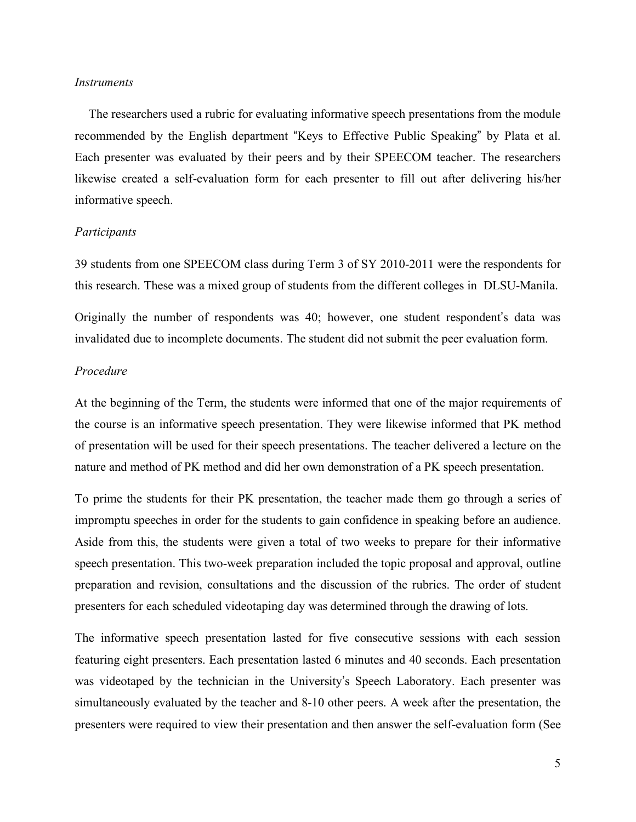#### *Instruments*

The researchers used a rubric for evaluating informative speech presentations from the module recommended by the English department "Keys to Effective Public Speaking" by Plata et al. Each presenter was evaluated by their peers and by their SPEECOM teacher. The researchers likewise created a self-evaluation form for each presenter to fill out after delivering his/her informative speech.

#### *Participants*

39 students from one SPEECOM class during Term 3 of SY 2010-2011 were the respondents for this research. These was a mixed group of students from the different colleges in DLSU-Manila.

Originally the number of respondents was 40; however, one student respondent's data was invalidated due to incomplete documents. The student did not submit the peer evaluation form.

## *Procedure*

At the beginning of the Term, the students were informed that one of the major requirements of the course is an informative speech presentation. They were likewise informed that PK method of presentation will be used for their speech presentations. The teacher delivered a lecture on the nature and method of PK method and did her own demonstration of a PK speech presentation.

To prime the students for their PK presentation, the teacher made them go through a series of impromptu speeches in order for the students to gain confidence in speaking before an audience. Aside from this, the students were given a total of two weeks to prepare for their informative speech presentation. This two-week preparation included the topic proposal and approval, outline preparation and revision, consultations and the discussion of the rubrics. The order of student presenters for each scheduled videotaping day was determined through the drawing of lots.

The informative speech presentation lasted for five consecutive sessions with each session featuring eight presenters. Each presentation lasted 6 minutes and 40 seconds. Each presentation was videotaped by the technician in the University's Speech Laboratory. Each presenter was simultaneously evaluated by the teacher and 8-10 other peers. A week after the presentation, the presenters were required to view their presentation and then answer the self-evaluation form (See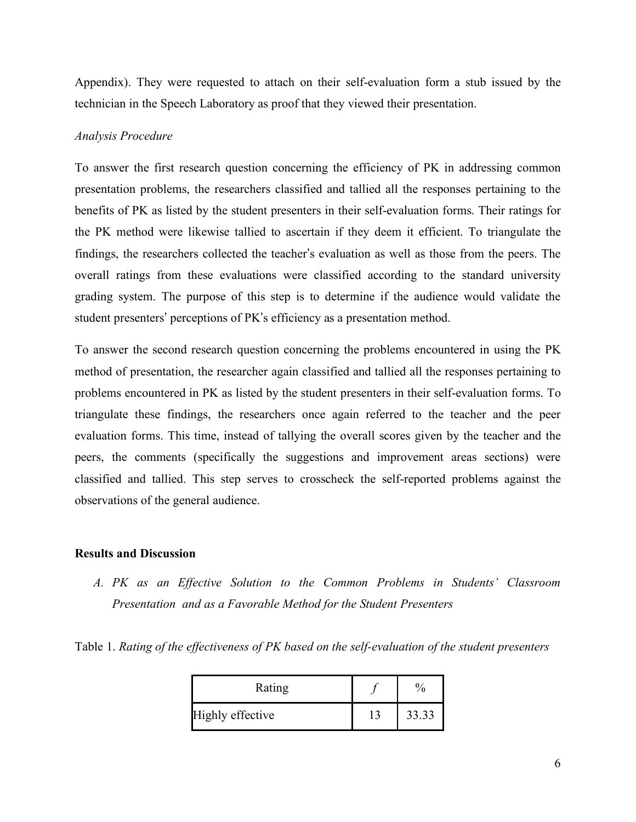Appendix). They were requested to attach on their self-evaluation form a stub issued by the technician in the Speech Laboratory as proof that they viewed their presentation.

## *Analysis Procedure*

To answer the first research question concerning the efficiency of PK in addressing common presentation problems, the researchers classified and tallied all the responses pertaining to the benefits of PK as listed by the student presenters in their self-evaluation forms. Their ratings for the PK method were likewise tallied to ascertain if they deem it efficient. To triangulate the findings, the researchers collected the teacher's evaluation as well as those from the peers. The overall ratings from these evaluations were classified according to the standard university grading system. The purpose of this step is to determine if the audience would validate the student presenters' perceptions of PK's efficiency as a presentation method.

To answer the second research question concerning the problems encountered in using the PK method of presentation, the researcher again classified and tallied all the responses pertaining to problems encountered in PK as listed by the student presenters in their self-evaluation forms. To triangulate these findings, the researchers once again referred to the teacher and the peer evaluation forms. This time, instead of tallying the overall scores given by the teacher and the peers, the comments (specifically the suggestions and improvement areas sections) were classified and tallied. This step serves to crosscheck the self-reported problems against the observations of the general audience.

## **Results and Discussion**

*A. PK as an Effective Solution to the Common Problems in Students' Classroom Presentation and as a Favorable Method for the Student Presenters*

| Rating           |       |
|------------------|-------|
| Highly effective | 33.33 |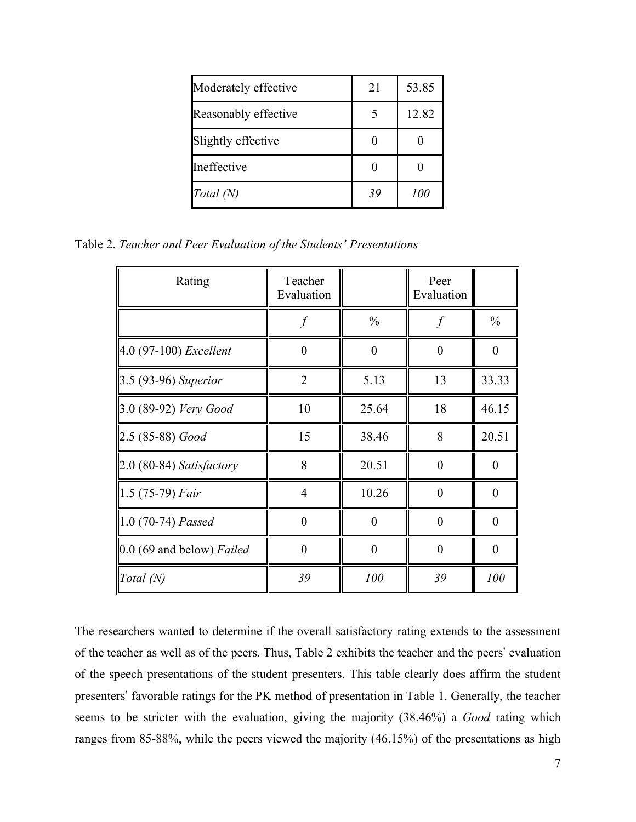| Moderately effective | 21 | 53.85 |
|----------------------|----|-------|
| Reasonably effective |    | 12.82 |
| Slightly effective   |    |       |
| Ineffective          |    |       |
| Total (N)            | 39 | 100   |

Table 2. *Teacher and Peer Evaluation of the Students' Presentations*

| Rating                    | Teacher<br>Evaluation |               | Peer<br>Evaluation |                |
|---------------------------|-----------------------|---------------|--------------------|----------------|
|                           |                       | $\frac{0}{0}$ | f                  | $\frac{0}{0}$  |
| 4.0 (97-100) Excellent    | $\theta$              | $\theta$      | $\theta$           | $\theta$       |
| 3.5 (93-96) Superior      | $\overline{2}$        | 5.13          | 13                 | 33.33          |
| 3.0 (89-92) Very Good     | 10                    | 25.64         | 18                 | 46.15          |
| 2.5 (85-88) Good          | 15                    | 38.46         | 8                  | 20.51          |
| 2.0 (80-84) Satisfactory  | 8                     | 20.51         | $\theta$           | $\theta$       |
| 1.5 (75-79) Fair          | $\overline{4}$        | 10.26         | $\theta$           | $\theta$       |
| 1.0 (70-74) Passed        | $\theta$              | $\theta$      | $\theta$           | $\theta$       |
| 0.0 (69 and below) Failed | $\theta$              | $\theta$      | $\overline{0}$     | $\overline{0}$ |
| Total $(N)$               | 39                    | 100           | 39                 | 100            |

The researchers wanted to determine if the overall satisfactory rating extends to the assessment of the teacher as well as of the peers. Thus, Table 2 exhibits the teacher and the peers' evaluation of the speech presentations of the student presenters. This table clearly does affirm the student presenters' favorable ratings for the PK method of presentation in Table 1. Generally, the teacher seems to be stricter with the evaluation, giving the majority (38.46%) a *Good* rating which ranges from 85-88%, while the peers viewed the majority (46.15%) of the presentations as high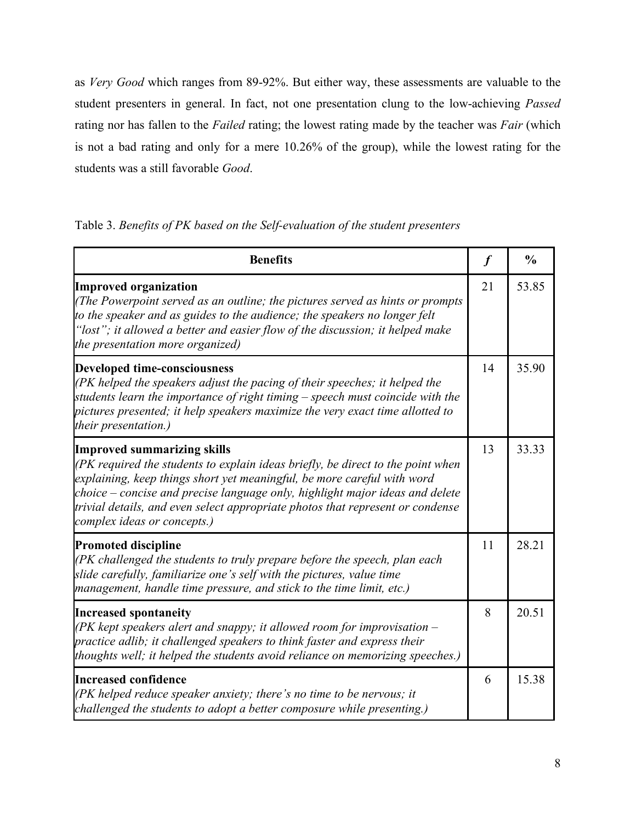as *Very Good* which ranges from 89-92%. But either way, these assessments are valuable to the student presenters in general. In fact, not one presentation clung to the low-achieving *Passed*  rating nor has fallen to the *Failed* rating; the lowest rating made by the teacher was *Fair* (which is not a bad rating and only for a mere 10.26% of the group), while the lowest rating for the students was a still favorable *Good*.

|  |  | Table 3. Benefits of PK based on the Self-evaluation of the student presenters |  |  |
|--|--|--------------------------------------------------------------------------------|--|--|
|--|--|--------------------------------------------------------------------------------|--|--|

| <b>Benefits</b>                                                                                                                                                                                                                                                                                                                                                                                   | $\boldsymbol{f}$ | $\frac{0}{0}$ |
|---------------------------------------------------------------------------------------------------------------------------------------------------------------------------------------------------------------------------------------------------------------------------------------------------------------------------------------------------------------------------------------------------|------------------|---------------|
| <b>Improved organization</b><br>(The Powerpoint served as an outline; the pictures served as hints or prompts<br>to the speaker and as guides to the audience; the speakers no longer felt<br>"lost"; it allowed a better and easier flow of the discussion; it helped make<br>the presentation more organized)                                                                                   | 21               | 53.85         |
| <b>Developed time-consciousness</b><br>(PK helped the speakers adjust the pacing of their speeches; it helped the<br>students learn the importance of right timing – speech must coincide with the<br>pictures presented; it help speakers maximize the very exact time allotted to<br>their presentation.)                                                                                       | 14               | 35.90         |
| <b>Improved summarizing skills</b><br>(PK required the students to explain ideas briefly, be direct to the point when<br>explaining, keep things short yet meaningful, be more careful with word<br>choice – concise and precise language only, highlight major ideas and delete<br>trivial details, and even select appropriate photos that represent or condense<br>complex ideas or concepts.) | 13               | 33.33         |
| <b>Promoted discipline</b><br>(PK challenged the students to truly prepare before the speech, plan each<br>slide carefully, familiarize one's self with the pictures, value time<br>management, handle time pressure, and stick to the time limit, etc.)                                                                                                                                          | 11               | 28.21         |
| <b>Increased spontaneity</b><br>(PK kept speakers alert and snappy; it allowed room for improvisation $-$<br>practice adlib; it challenged speakers to think faster and express their<br>thoughts well; it helped the students avoid reliance on memorizing speeches.)                                                                                                                            | 8                | 20.51         |
| <b>Increased confidence</b><br>(PK helped reduce speaker anxiety; there's no time to be nervous; it<br>challenged the students to adopt a better composure while presenting.)                                                                                                                                                                                                                     | 6                | 15.38         |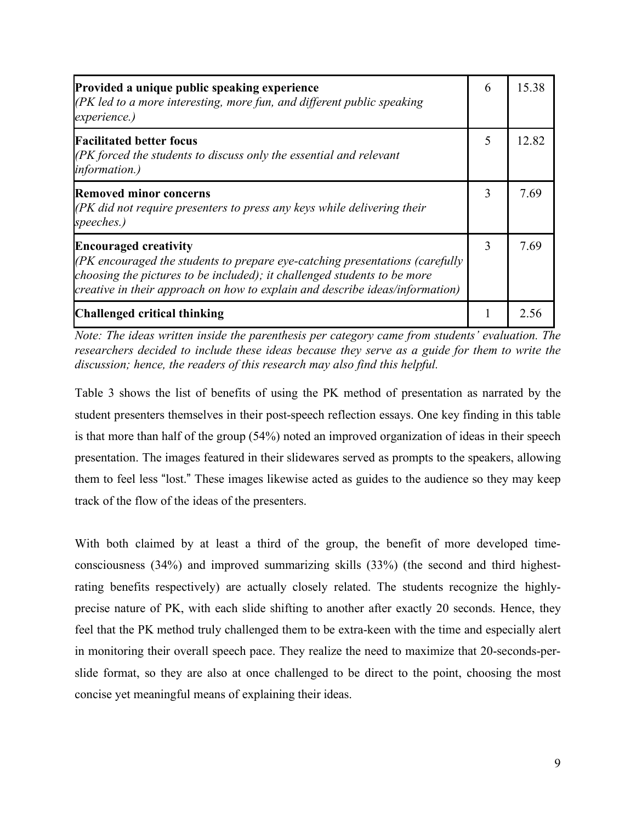| Provided a unique public speaking experience<br>$(PK \leq R)$ and more interesting, more fun, and different public speaking<br>experience.)                                                                                                                                | 6 | 15.38 |
|----------------------------------------------------------------------------------------------------------------------------------------------------------------------------------------------------------------------------------------------------------------------------|---|-------|
| <b>Facilitated better focus</b><br>(PK forced the students to discuss only the essential and relevant<br><i>information.)</i>                                                                                                                                              | 5 | 12.82 |
| <b>Removed minor concerns</b><br>$(PK$ did not require presenters to press any keys while delivering their<br>speeches.)                                                                                                                                                   | 3 | 7.69  |
| <b>Encouraged creativity</b><br>$(PK$ encouraged the students to prepare eye-catching presentations (carefully<br>choosing the pictures to be included); it challenged students to be more<br>creative in their approach on how to explain and describe ideas/information) |   | 7.69  |
| Challenged critical thinking                                                                                                                                                                                                                                               |   | 2.56  |

*Note: The ideas written inside the parenthesis per category came from students' evaluation. The researchers decided to include these ideas because they serve as a guide for them to write the discussion; hence, the readers of this research may also find this helpful.*

Table 3 shows the list of benefits of using the PK method of presentation as narrated by the student presenters themselves in their post-speech reflection essays. One key finding in this table is that more than half of the group (54%) noted an improved organization of ideas in their speech presentation. The images featured in their slidewares served as prompts to the speakers, allowing them to feel less "lost." These images likewise acted as guides to the audience so they may keep track of the flow of the ideas of the presenters.

With both claimed by at least a third of the group, the benefit of more developed timeconsciousness (34%) and improved summarizing skills (33%) (the second and third highestrating benefits respectively) are actually closely related. The students recognize the highlyprecise nature of PK, with each slide shifting to another after exactly 20 seconds. Hence, they feel that the PK method truly challenged them to be extra-keen with the time and especially alert in monitoring their overall speech pace. They realize the need to maximize that 20-seconds-perslide format, so they are also at once challenged to be direct to the point, choosing the most concise yet meaningful means of explaining their ideas.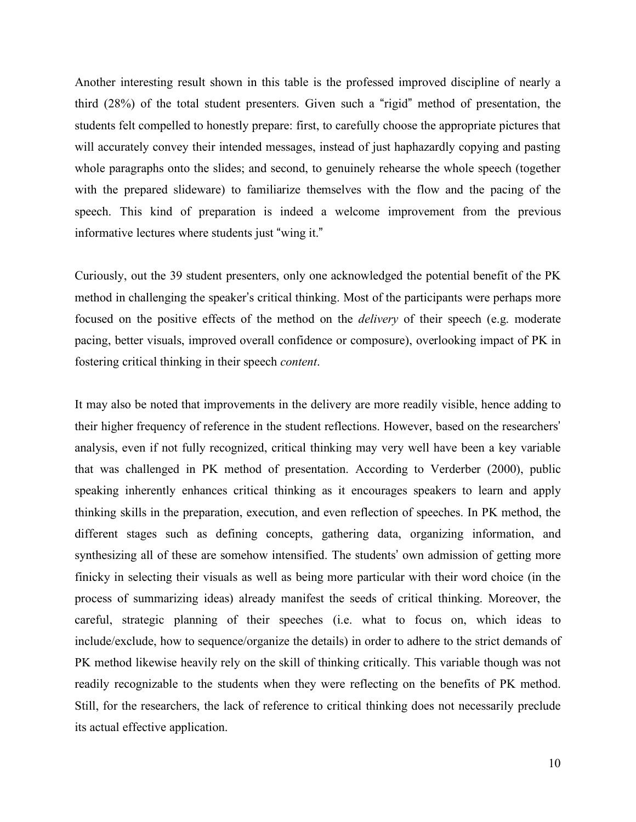Another interesting result shown in this table is the professed improved discipline of nearly a third (28%) of the total student presenters. Given such a "rigid" method of presentation, the students felt compelled to honestly prepare: first, to carefully choose the appropriate pictures that will accurately convey their intended messages, instead of just haphazardly copying and pasting whole paragraphs onto the slides; and second, to genuinely rehearse the whole speech (together with the prepared slideware) to familiarize themselves with the flow and the pacing of the speech. This kind of preparation is indeed a welcome improvement from the previous informative lectures where students just "wing it."

Curiously, out the 39 student presenters, only one acknowledged the potential benefit of the PK method in challenging the speaker's critical thinking. Most of the participants were perhaps more focused on the positive effects of the method on the *delivery* of their speech (e.g. moderate pacing, better visuals, improved overall confidence or composure), overlooking impact of PK in fostering critical thinking in their speech *content*.

It may also be noted that improvements in the delivery are more readily visible, hence adding to their higher frequency of reference in the student reflections. However, based on the researchers' analysis, even if not fully recognized, critical thinking may very well have been a key variable that was challenged in PK method of presentation. According to Verderber (2000), public speaking inherently enhances critical thinking as it encourages speakers to learn and apply thinking skills in the preparation, execution, and even reflection of speeches. In PK method, the different stages such as defining concepts, gathering data, organizing information, and synthesizing all of these are somehow intensified. The students' own admission of getting more finicky in selecting their visuals as well as being more particular with their word choice (in the process of summarizing ideas) already manifest the seeds of critical thinking. Moreover, the careful, strategic planning of their speeches (i.e. what to focus on, which ideas to include/exclude, how to sequence/organize the details) in order to adhere to the strict demands of PK method likewise heavily rely on the skill of thinking critically. This variable though was not readily recognizable to the students when they were reflecting on the benefits of PK method. Still, for the researchers, the lack of reference to critical thinking does not necessarily preclude its actual effective application.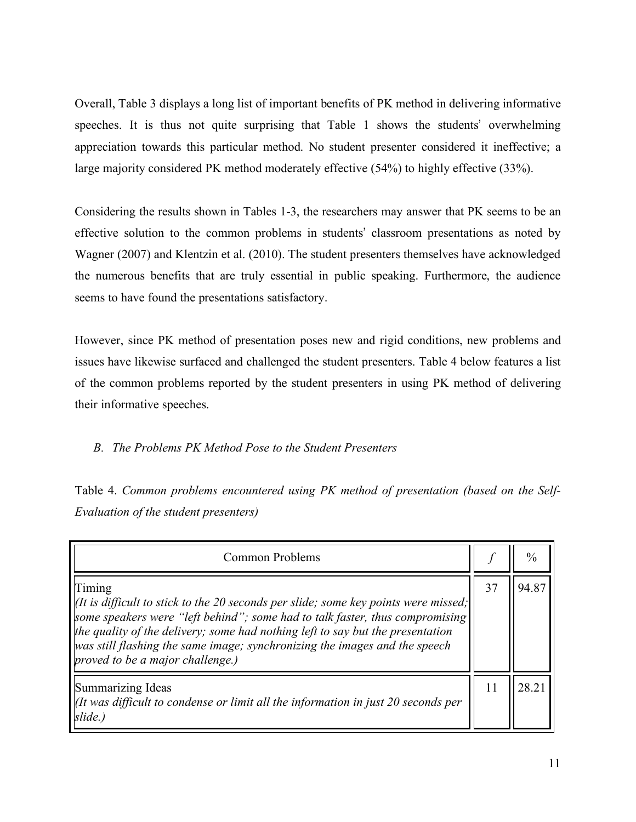Overall, Table 3 displays a long list of important benefits of PK method in delivering informative speeches. It is thus not quite surprising that Table 1 shows the students' overwhelming appreciation towards this particular method. No student presenter considered it ineffective; a large majority considered PK method moderately effective (54%) to highly effective (33%).

Considering the results shown in Tables 1-3, the researchers may answer that PK seems to be an effective solution to the common problems in students' classroom presentations as noted by Wagner (2007) and Klentzin et al. (2010). The student presenters themselves have acknowledged the numerous benefits that are truly essential in public speaking. Furthermore, the audience seems to have found the presentations satisfactory.

However, since PK method of presentation poses new and rigid conditions, new problems and issues have likewise surfaced and challenged the student presenters. Table 4 below features a list of the common problems reported by the student presenters in using PK method of delivering their informative speeches.

# *B. The Problems PK Method Pose to the Student Presenters*

Table 4. *Common problems encountered using PK method of presentation (based on the Self-Evaluation of the student presenters)*

| Common Problems                                                                                                                                                                                                                                                                                                                                                                                         |    | $\%$  |
|---------------------------------------------------------------------------------------------------------------------------------------------------------------------------------------------------------------------------------------------------------------------------------------------------------------------------------------------------------------------------------------------------------|----|-------|
| Timing<br>$  $ (It is difficult to stick to the 20 seconds per slide; some key points were missed;<br>some speakers were "left behind"; some had to talk faster, thus compromising<br>the quality of the delivery; some had nothing left to say but the presentation<br>$\vert$ was still flashing the same image; synchronizing the images and the speech<br>$ proved\ to\ be\ a\ major\ challenge.$ ) |    | 94.87 |
| Summarizing Ideas<br>If $\frac{d}{dt}$ was difficult to condense or limit all the information in just 20 seconds per<br>slide.)                                                                                                                                                                                                                                                                         | 11 |       |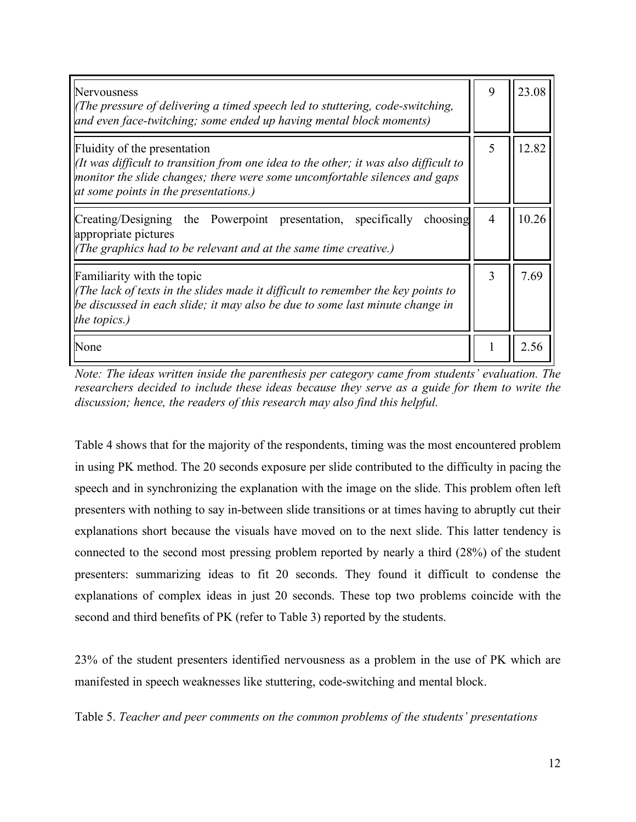| Nervousness<br>(The pressure of delivering a timed speech led to stuttering, code-switching,<br>and even face-twitching; some ended up having mental block moments)                                                                        | 9              | 23.08 |
|--------------------------------------------------------------------------------------------------------------------------------------------------------------------------------------------------------------------------------------------|----------------|-------|
| Fluidity of the presentation<br>It was difficult to transition from one idea to the other; it was also difficult to<br>monitor the slide changes; there were some uncomfortable silences and gaps<br>at some points in the presentations.) | 5              | 12.82 |
| Creating/Designing the Powerpoint presentation, specifically choosing<br>appropriate pictures<br>(The graphics had to be relevant and at the same time creative.)                                                                          | $\overline{4}$ | 10.26 |
| Familiarity with the topic<br>(The lack of texts in the slides made it difficult to remember the key points to<br>be discussed in each slide; it may also be due to some last minute change in<br>the topics.)                             | 3              | 7.69  |
| None                                                                                                                                                                                                                                       |                | 2.56  |

*Note: The ideas written inside the parenthesis per category came from students' evaluation. The researchers decided to include these ideas because they serve as a guide for them to write the discussion; hence, the readers of this research may also find this helpful.*

Table 4 shows that for the majority of the respondents, timing was the most encountered problem in using PK method. The 20 seconds exposure per slide contributed to the difficulty in pacing the speech and in synchronizing the explanation with the image on the slide. This problem often left presenters with nothing to say in-between slide transitions or at times having to abruptly cut their explanations short because the visuals have moved on to the next slide. This latter tendency is connected to the second most pressing problem reported by nearly a third (28%) of the student presenters: summarizing ideas to fit 20 seconds. They found it difficult to condense the explanations of complex ideas in just 20 seconds. These top two problems coincide with the second and third benefits of PK (refer to Table 3) reported by the students.

23% of the student presenters identified nervousness as a problem in the use of PK which are manifested in speech weaknesses like stuttering, code-switching and mental block.

Table 5. *Teacher and peer comments on the common problems of the students' presentations*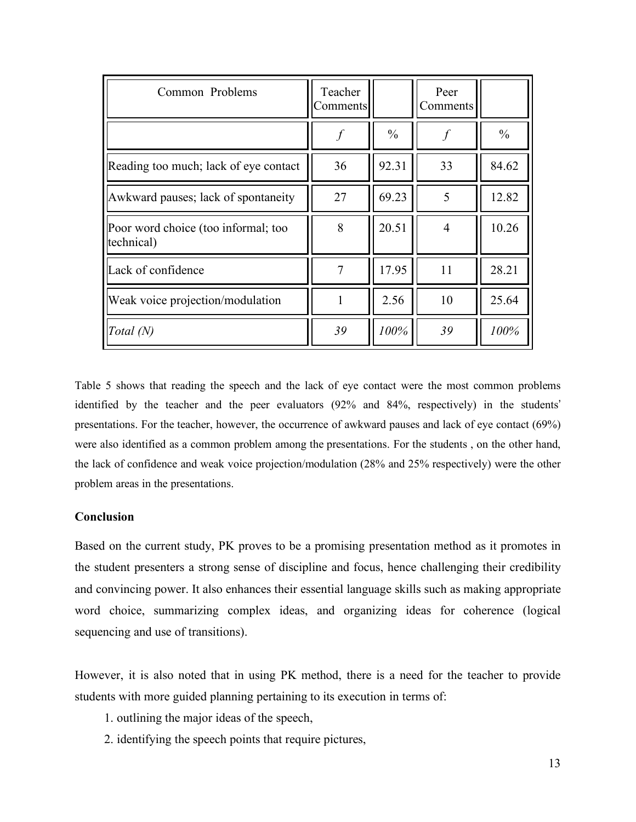| Common Problems                                   | Teacher<br>Comments |               | Peer<br>Comments |               |
|---------------------------------------------------|---------------------|---------------|------------------|---------------|
|                                                   |                     | $\frac{0}{0}$ |                  | $\frac{0}{0}$ |
| Reading too much; lack of eye contact             | 36                  | 92.31         | 33               | 84.62         |
| Awkward pauses; lack of spontaneity               | 27                  | 69.23         | 5                | 12.82         |
| Poor word choice (too informal; too<br>technical) | 8                   | 20.51         | $\overline{4}$   | 10.26         |
| Lack of confidence                                | 7                   | 17.95         | 11               | 28.21         |
| Weak voice projection/modulation                  |                     | 2.56          | 10               | 25.64         |
| Total (N)                                         | 39                  | 100%          | 39               | 100%          |

Table 5 shows that reading the speech and the lack of eye contact were the most common problems identified by the teacher and the peer evaluators (92% and 84%, respectively) in the students' presentations. For the teacher, however, the occurrence of awkward pauses and lack of eye contact (69%) were also identified as a common problem among the presentations. For the students , on the other hand, the lack of confidence and weak voice projection/modulation (28% and 25% respectively) were the other problem areas in the presentations.

# **Conclusion**

Based on the current study, PK proves to be a promising presentation method as it promotes in the student presenters a strong sense of discipline and focus, hence challenging their credibility and convincing power. It also enhances their essential language skills such as making appropriate word choice, summarizing complex ideas, and organizing ideas for coherence (logical sequencing and use of transitions).

However, it is also noted that in using PK method, there is a need for the teacher to provide students with more guided planning pertaining to its execution in terms of:

- 1. outlining the major ideas of the speech,
- 2. identifying the speech points that require pictures,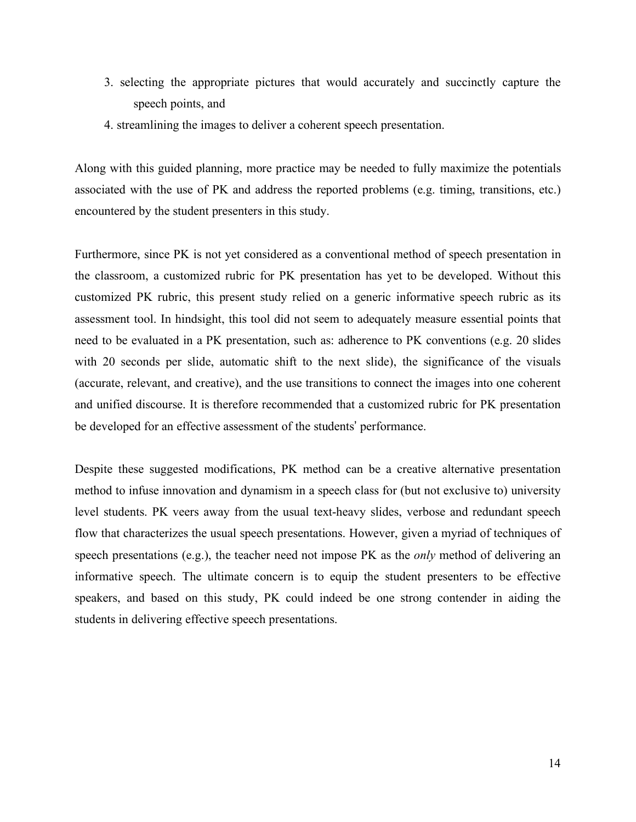- 3. selecting the appropriate pictures that would accurately and succinctly capture the speech points, and
- 4. streamlining the images to deliver a coherent speech presentation.

Along with this guided planning, more practice may be needed to fully maximize the potentials associated with the use of PK and address the reported problems (e.g. timing, transitions, etc.) encountered by the student presenters in this study.

Furthermore, since PK is not yet considered as a conventional method of speech presentation in the classroom, a customized rubric for PK presentation has yet to be developed. Without this customized PK rubric, this present study relied on a generic informative speech rubric as its assessment tool. In hindsight, this tool did not seem to adequately measure essential points that need to be evaluated in a PK presentation, such as: adherence to PK conventions (e.g. 20 slides with 20 seconds per slide, automatic shift to the next slide), the significance of the visuals (accurate, relevant, and creative), and the use transitions to connect the images into one coherent and unified discourse. It is therefore recommended that a customized rubric for PK presentation be developed for an effective assessment of the students' performance.

Despite these suggested modifications, PK method can be a creative alternative presentation method to infuse innovation and dynamism in a speech class for (but not exclusive to) university level students. PK veers away from the usual text-heavy slides, verbose and redundant speech flow that characterizes the usual speech presentations. However, given a myriad of techniques of speech presentations (e.g.), the teacher need not impose PK as the *only* method of delivering an informative speech. The ultimate concern is to equip the student presenters to be effective speakers, and based on this study, PK could indeed be one strong contender in aiding the students in delivering effective speech presentations.